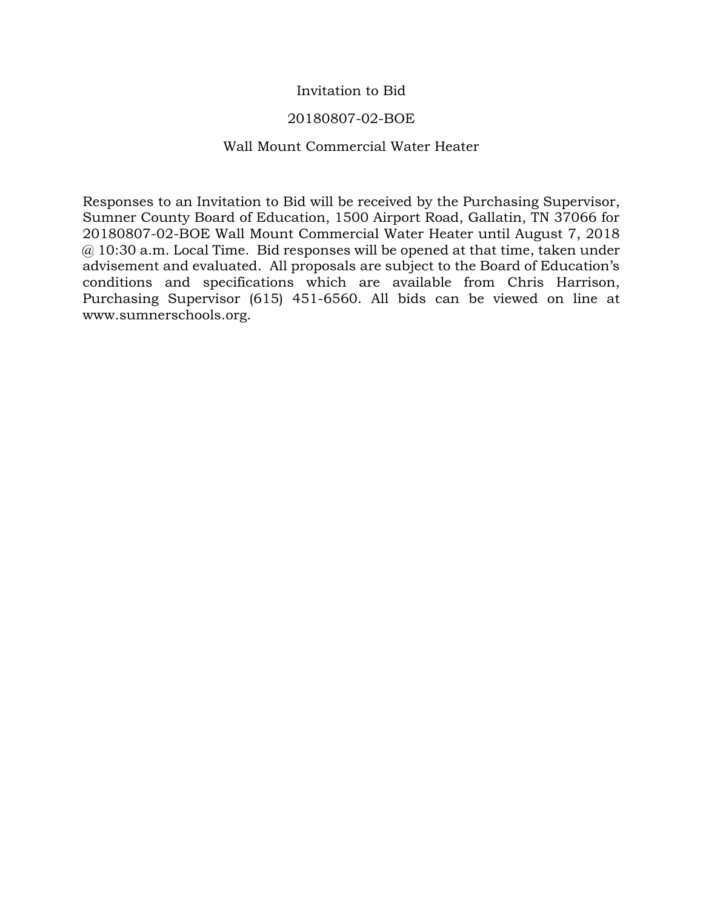## Invitation to Bid

## 20180807-02-BOE

## Wall Mount Commercial Water Heater

Responses to an Invitation to Bid will be received by the Purchasing Supervisor, Sumner County Board of Education, 1500 Airport Road, Gallatin, TN 37066 for 20180807-02-BOE Wall Mount Commercial Water Heater until August 7, 2018  $\omega$  10:30 a.m. Local Time. Bid responses will be opened at that time, taken under advisement and evaluated. All proposals are subject to the Board of Education's conditions and specifications which are available from Chris Harrison, Purchasing Supervisor (615) 451-6560. All bids can be viewed on line at www.sumnerschools.org.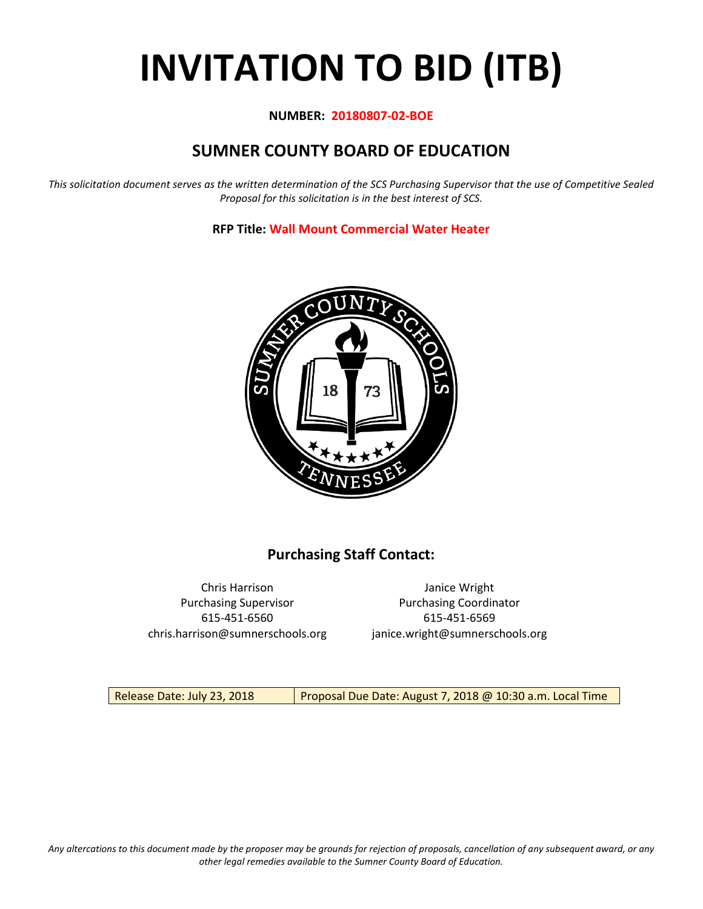# **INVITATION TO BID (ITB)**

## **NUMBER: 20180807-02-BOE**

# **SUMNER COUNTY BOARD OF EDUCATION**

*This solicitation document serves as the written determination of the SCS Purchasing Supervisor that the use of Competitive Sealed Proposal for this solicitation is in the best interest of SCS.*

**RFP Title: Wall Mount Commercial Water Heater**



## **Purchasing Staff Contact:**

Chris Harrison Janice Wright 615-451-6560 615-451-6569 chris.harrison@sumnerschools.org janice.wright@sumnerschools.org

Purchasing Supervisor **Purchasing Coordinator** 

Release Date: July 23, 2018 | Proposal Due Date: August 7, 2018 @ 10:30 a.m. Local Time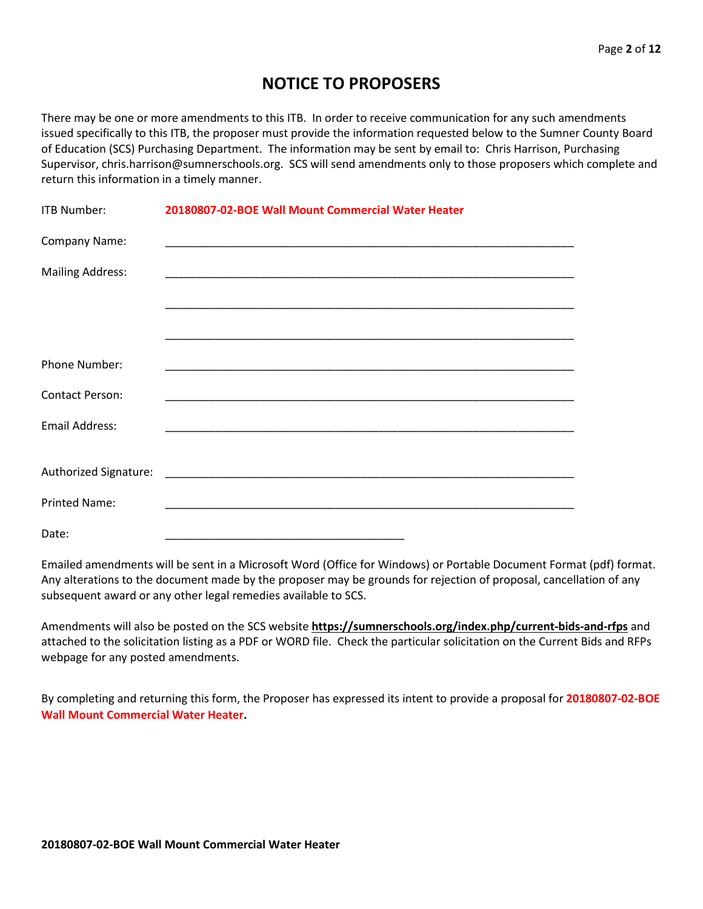## **NOTICE TO PROPOSERS**

There may be one or more amendments to this ITB. In order to receive communication for any such amendments issued specifically to this ITB, the proposer must provide the information requested below to the Sumner County Board of Education (SCS) Purchasing Department. The information may be sent by email to: Chris Harrison, Purchasing Supervisor, chris.harrison@sumnerschools.org. SCS will send amendments only to those proposers which complete and return this information in a timely manner.

| <b>ITB Number:</b>      | 20180807-02-BOE Wall Mount Commercial Water Heater |
|-------------------------|----------------------------------------------------|
| Company Name:           |                                                    |
| <b>Mailing Address:</b> |                                                    |
|                         |                                                    |
|                         |                                                    |
| Phone Number:           |                                                    |
| <b>Contact Person:</b>  |                                                    |
| <b>Email Address:</b>   |                                                    |
|                         |                                                    |
|                         |                                                    |
| <b>Printed Name:</b>    |                                                    |
| Date:                   |                                                    |

Emailed amendments will be sent in a Microsoft Word (Office for Windows) or Portable Document Format (pdf) format. Any alterations to the document made by the proposer may be grounds for rejection of proposal, cancellation of any subsequent award or any other legal remedies available to SCS.

Amendments will also be posted on the SCS website **https://sumnerschools.org/index.php/current-bids-and-rfps** and attached to the solicitation listing as a PDF or WORD file. Check the particular solicitation on the Current Bids and RFPs webpage for any posted amendments.

By completing and returning this form, the Proposer has expressed its intent to provide a proposal for **20180807-02-BOE Wall Mount Commercial Water Heater.**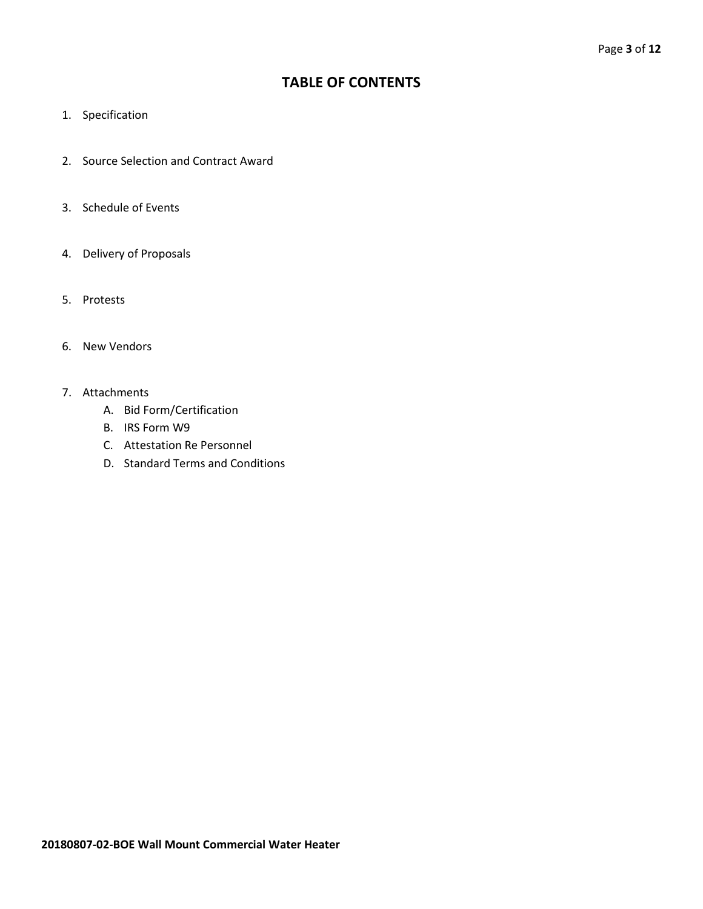## **TABLE OF CONTENTS**

- 1. Specification
- 2. Source Selection and Contract Award
- 3. Schedule of Events
- 4. Delivery of Proposals
- 5. Protests
- 6. New Vendors
- 7. Attachments
	- A. Bid Form/Certification
	- B. IRS Form W9
	- C. Attestation Re Personnel
	- D. Standard Terms and Conditions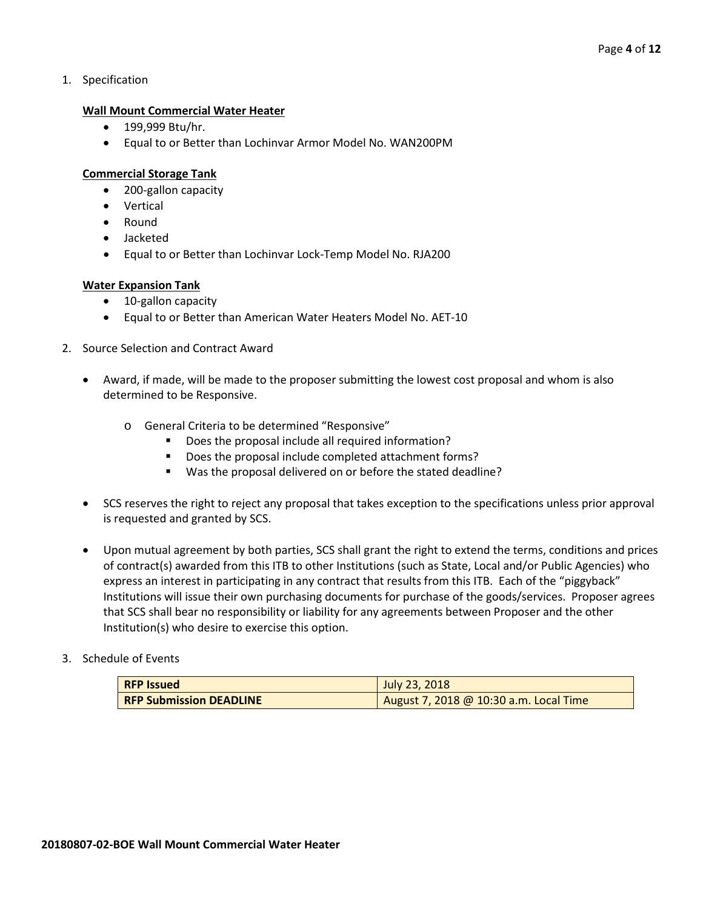1. Specification

## **Wall Mount Commercial Water Heater**

- 199,999 Btu/hr.
- Equal to or Better than Lochinvar Armor Model No. WAN200PM

## **Commercial Storage Tank**

- 200-gallon capacity
- Vertical
- Round
- Jacketed
- Equal to or Better than Lochinvar Lock-Temp Model No. RJA200

## **Water Expansion Tank**

- 10-gallon capacity
- Equal to or Better than American Water Heaters Model No. AET-10
- 2. Source Selection and Contract Award
	- Award, if made, will be made to the proposer submitting the lowest cost proposal and whom is also determined to be Responsive.
		- o General Criteria to be determined "Responsive"
			- Does the proposal include all required information?
			- Does the proposal include completed attachment forms?
			- Was the proposal delivered on or before the stated deadline?
	- SCS reserves the right to reject any proposal that takes exception to the specifications unless prior approval is requested and granted by SCS.
	- Upon mutual agreement by both parties, SCS shall grant the right to extend the terms, conditions and prices of contract(s) awarded from this ITB to other Institutions (such as State, Local and/or Public Agencies) who express an interest in participating in any contract that results from this ITB. Each of the "piggyback" Institutions will issue their own purchasing documents for purchase of the goods/services. Proposer agrees that SCS shall bear no responsibility or liability for any agreements between Proposer and the other Institution(s) who desire to exercise this option.

## 3. Schedule of Events

| <b>RFP Issued</b>              | July 23, 2018                          |
|--------------------------------|----------------------------------------|
| <b>RFP Submission DEADLINE</b> | August 7, 2018 @ 10:30 a.m. Local Time |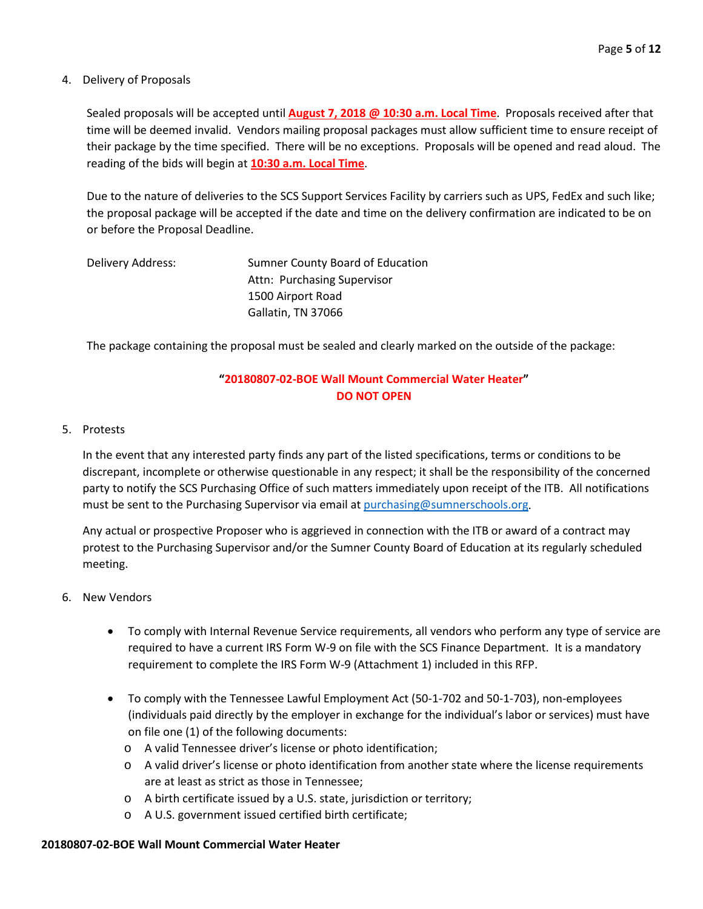## 4. Delivery of Proposals

Sealed proposals will be accepted until **August 7, 2018 @ 10:30 a.m. Local Time**. Proposals received after that time will be deemed invalid. Vendors mailing proposal packages must allow sufficient time to ensure receipt of their package by the time specified. There will be no exceptions. Proposals will be opened and read aloud. The reading of the bids will begin at **10:30 a.m. Local Time**.

Due to the nature of deliveries to the SCS Support Services Facility by carriers such as UPS, FedEx and such like; the proposal package will be accepted if the date and time on the delivery confirmation are indicated to be on or before the Proposal Deadline.

| Delivery Address: | Sumner County Board of Education |
|-------------------|----------------------------------|
|                   | Attn: Purchasing Supervisor      |
|                   | 1500 Airport Road                |
|                   | Gallatin, TN 37066               |

The package containing the proposal must be sealed and clearly marked on the outside of the package:

## **"20180807-02-BOE Wall Mount Commercial Water Heater" DO NOT OPEN**

## 5. Protests

In the event that any interested party finds any part of the listed specifications, terms or conditions to be discrepant, incomplete or otherwise questionable in any respect; it shall be the responsibility of the concerned party to notify the SCS Purchasing Office of such matters immediately upon receipt of the ITB. All notifications must be sent to the Purchasing Supervisor via email at [purchasing@sumnerschools.org.](mailto:purchasing@sumnerschools.org)

Any actual or prospective Proposer who is aggrieved in connection with the ITB or award of a contract may protest to the Purchasing Supervisor and/or the Sumner County Board of Education at its regularly scheduled meeting.

## 6. New Vendors

- To comply with Internal Revenue Service requirements, all vendors who perform any type of service are required to have a current IRS Form W-9 on file with the SCS Finance Department. It is a mandatory requirement to complete the IRS Form W-9 (Attachment 1) included in this RFP.
- To comply with the Tennessee Lawful Employment Act (50-1-702 and 50-1-703), non-employees (individuals paid directly by the employer in exchange for the individual's labor or services) must have on file one (1) of the following documents:
	- o A valid Tennessee driver's license or photo identification;
	- o A valid driver's license or photo identification from another state where the license requirements are at least as strict as those in Tennessee;
	- o A birth certificate issued by a U.S. state, jurisdiction or territory;
	- o A U.S. government issued certified birth certificate;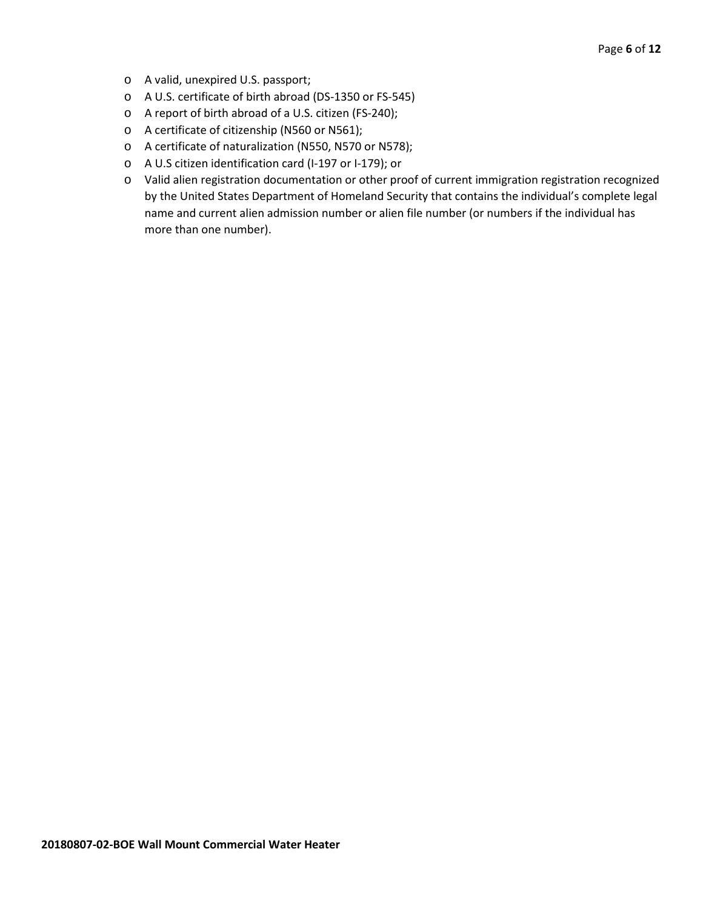- o A valid, unexpired U.S. passport;
- o A U.S. certificate of birth abroad (DS-1350 or FS-545)
- o A report of birth abroad of a U.S. citizen (FS-240);
- o A certificate of citizenship (N560 or N561);
- o A certificate of naturalization (N550, N570 or N578);
- o A U.S citizen identification card (I-197 or I-179); or
- o Valid alien registration documentation or other proof of current immigration registration recognized by the United States Department of Homeland Security that contains the individual's complete legal name and current alien admission number or alien file number (or numbers if the individual has more than one number).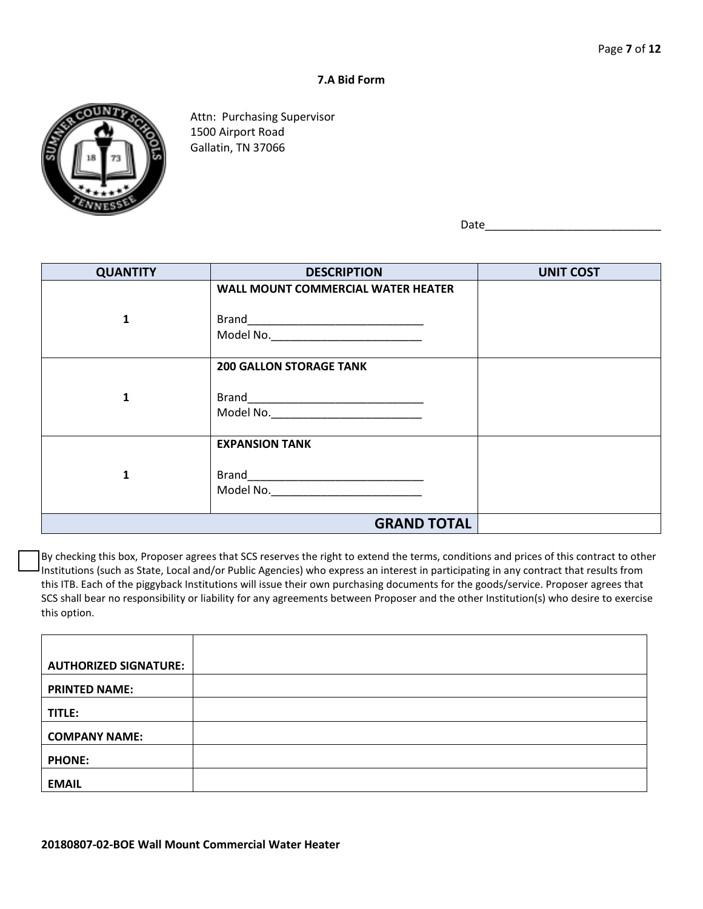#### **7.A Bid Form**



Attn: Purchasing Supervisor 1500 Airport Road Gallatin, TN 37066

Date\_\_\_\_\_\_\_\_\_\_\_\_\_\_\_\_\_\_\_\_\_\_\_\_\_\_\_\_

| <b>QUANTITY</b> | <b>DESCRIPTION</b>                        | <b>UNIT COST</b> |
|-----------------|-------------------------------------------|------------------|
|                 | <b>WALL MOUNT COMMERCIAL WATER HEATER</b> |                  |
|                 |                                           |                  |
| 1               |                                           |                  |
|                 | Model No. _______________________________ |                  |
|                 | <b>200 GALLON STORAGE TANK</b>            |                  |
| 1               |                                           |                  |
|                 | Model No. ______________________________  |                  |
|                 | <b>EXPANSION TANK</b>                     |                  |
| 1               |                                           |                  |
|                 | Model No. ___ ___________________________ |                  |
|                 | <b>GRAND TOTAL</b>                        |                  |

By checking this box, Proposer agrees that SCS reserves the right to extend the terms, conditions and prices of this contract to other Institutions (such as State, Local and/or Public Agencies) who express an interest in participating in any contract that results from this ITB. Each of the piggyback Institutions will issue their own purchasing documents for the goods/service. Proposer agrees that SCS shall bear no responsibility or liability for any agreements between Proposer and the other Institution(s) who desire to exercise this option.

| <b>AUTHORIZED SIGNATURE:</b> |  |
|------------------------------|--|
| <b>PRINTED NAME:</b>         |  |
| TITLE:                       |  |
| <b>COMPANY NAME:</b>         |  |
| <b>PHONE:</b>                |  |
| <b>EMAIL</b>                 |  |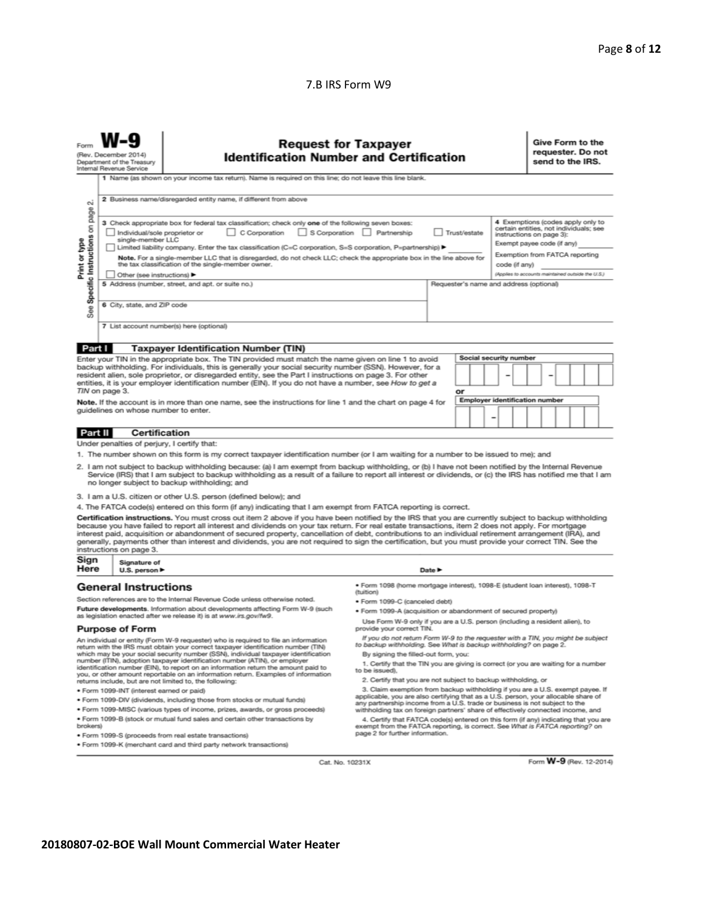## 7.B IRS Form W9

| <b>Request for Taxpayer</b><br><b>Identification Number and Certification</b><br>(Rev. December 2014)<br>Department of the Treasury<br>Internal Revenue Service<br>1 Name (as shown on your income tax return). Name is required on this line; do not leave this line blank.                                                                                                                                                                                                                                                                                                                                                                                                                                                     |                                                                                                       |                                                                                                                                                                         |                                                                                                                                                                        |  |                                       |                 |  | Give Form to the<br>requester. Do not<br>send to the IRS. |  |                         |  |
|----------------------------------------------------------------------------------------------------------------------------------------------------------------------------------------------------------------------------------------------------------------------------------------------------------------------------------------------------------------------------------------------------------------------------------------------------------------------------------------------------------------------------------------------------------------------------------------------------------------------------------------------------------------------------------------------------------------------------------|-------------------------------------------------------------------------------------------------------|-------------------------------------------------------------------------------------------------------------------------------------------------------------------------|------------------------------------------------------------------------------------------------------------------------------------------------------------------------|--|---------------------------------------|-----------------|--|-----------------------------------------------------------|--|-------------------------|--|
| $\sim$<br>page                                                                                                                                                                                                                                                                                                                                                                                                                                                                                                                                                                                                                                                                                                                   | 2 Business name/disregarded entity name, if different from above<br>4 Exemptions (codes apply only to |                                                                                                                                                                         |                                                                                                                                                                        |  |                                       |                 |  |                                                           |  |                         |  |
| 3 Check appropriate box for federal tax classification; check only one of the following seven boxes:<br>Specific Instructions on<br>certain entities, not individuals; see<br>S Corporation Partnership<br>$\Box$ C Corporation<br>Trust/estate<br>Individual/sole proprietor or<br>instructions on page 3):<br>single-member LLC<br>Print or type<br>Exempt payee code (if any)<br>Limited liability company. Enter the tax classification (C=C corporation, S=S corporation, P=partnership) ▶<br>Exemption from FATCA reporting<br>Note. For a single-member LLC that is disregarded, do not check LLC; check the appropriate box in the line above for<br>the tax classification of the single-member owner.<br>code (if any) |                                                                                                       |                                                                                                                                                                         |                                                                                                                                                                        |  |                                       |                 |  |                                                           |  |                         |  |
| (Applies to accounts maintained outside the U.S.)<br>Other (see instructions) ▶<br>5 Address (number, street, and apt. or suite no.)<br>Requester's name and address (optional)<br>6 City, state, and ZIP code                                                                                                                                                                                                                                                                                                                                                                                                                                                                                                                   |                                                                                                       |                                                                                                                                                                         |                                                                                                                                                                        |  |                                       |                 |  |                                                           |  |                         |  |
| <b>See</b>                                                                                                                                                                                                                                                                                                                                                                                                                                                                                                                                                                                                                                                                                                                       |                                                                                                       | 7 List account number(s) here (optional)                                                                                                                                |                                                                                                                                                                        |  |                                       |                 |  |                                                           |  |                         |  |
| Part I                                                                                                                                                                                                                                                                                                                                                                                                                                                                                                                                                                                                                                                                                                                           |                                                                                                       | <b>Taxpayer Identification Number (TIN)</b>                                                                                                                             |                                                                                                                                                                        |  |                                       |                 |  |                                                           |  |                         |  |
| Social security number<br>Enter your TIN in the appropriate box. The TIN provided must match the name given on line 1 to avoid<br>backup withholding. For individuals, this is generally your social security number (SSN). However, for a<br>resident alien, sole proprietor, or disregarded entity, see the Part I instructions on page 3. For other<br>entities, it is your employer identification number (EIN). If you do not have a number, see How to get a<br>TIN on page 3.<br>or                                                                                                                                                                                                                                       |                                                                                                       |                                                                                                                                                                         |                                                                                                                                                                        |  |                                       |                 |  |                                                           |  |                         |  |
| Note. If the account is in more than one name, see the instructions for line 1 and the chart on page 4 for<br>quidelines on whose number to enter.                                                                                                                                                                                                                                                                                                                                                                                                                                                                                                                                                                               |                                                                                                       |                                                                                                                                                                         |                                                                                                                                                                        |  | <b>Employer identification number</b> | $\qquad \qquad$ |  |                                                           |  |                         |  |
| Part II                                                                                                                                                                                                                                                                                                                                                                                                                                                                                                                                                                                                                                                                                                                          | <b>Certification</b>                                                                                  |                                                                                                                                                                         |                                                                                                                                                                        |  |                                       |                 |  |                                                           |  |                         |  |
|                                                                                                                                                                                                                                                                                                                                                                                                                                                                                                                                                                                                                                                                                                                                  | Under penalties of perjury, I certify that:                                                           |                                                                                                                                                                         |                                                                                                                                                                        |  |                                       |                 |  |                                                           |  |                         |  |
|                                                                                                                                                                                                                                                                                                                                                                                                                                                                                                                                                                                                                                                                                                                                  |                                                                                                       | 1. The number shown on this form is my correct taxpayer identification number (or I am waiting for a number to be issued to me); and                                    |                                                                                                                                                                        |  |                                       |                 |  |                                                           |  |                         |  |
| 2. I am not subject to backup withholding because: (a) I am exempt from backup withholding, or (b) I have not been notified by the Internal Revenue<br>Service (IRS) that I am subject to backup withholding as a result of a failure to report all interest or dividends, or (c) the IRS has notified me that I am<br>no longer subject to backup withholding; and                                                                                                                                                                                                                                                                                                                                                              |                                                                                                       |                                                                                                                                                                         |                                                                                                                                                                        |  |                                       |                 |  |                                                           |  |                         |  |
|                                                                                                                                                                                                                                                                                                                                                                                                                                                                                                                                                                                                                                                                                                                                  |                                                                                                       | 3. I am a U.S. citizen or other U.S. person (defined below); and                                                                                                        |                                                                                                                                                                        |  |                                       |                 |  |                                                           |  |                         |  |
|                                                                                                                                                                                                                                                                                                                                                                                                                                                                                                                                                                                                                                                                                                                                  |                                                                                                       | 4. The FATCA code(s) entered on this form (if any) indicating that I am exempt from FATCA reporting is correct.                                                         |                                                                                                                                                                        |  |                                       |                 |  |                                                           |  |                         |  |
| Certification instructions. You must cross out item 2 above if you have been notified by the IRS that you are currently subject to backup withholding<br>because you have failed to report all interest and dividends on your tax return. For real estate transactions, item 2 does not apply. For mortgage<br>interest paid, acquisition or abandonment of secured property, cancellation of debt, contributions to an individual retirement arrangement (IRA), and<br>generally, payments other than interest and dividends, you are not required to sign the certification, but you must provide your correct TIN. See the<br>instructions on page 3.                                                                         |                                                                                                       |                                                                                                                                                                         |                                                                                                                                                                        |  |                                       |                 |  |                                                           |  |                         |  |
| Sign<br>Here                                                                                                                                                                                                                                                                                                                                                                                                                                                                                                                                                                                                                                                                                                                     | Signature of<br>U.S. person $\blacktriangleright$                                                     |                                                                                                                                                                         | Date $\blacktriangleright$                                                                                                                                             |  |                                       |                 |  |                                                           |  |                         |  |
| <b>General Instructions</b>                                                                                                                                                                                                                                                                                                                                                                                                                                                                                                                                                                                                                                                                                                      |                                                                                                       |                                                                                                                                                                         | ● Form 1098 (home mortgage interest), 1098-E (student loan interest), 1098-T                                                                                           |  |                                       |                 |  |                                                           |  |                         |  |
|                                                                                                                                                                                                                                                                                                                                                                                                                                                                                                                                                                                                                                                                                                                                  |                                                                                                       | Section references are to the Internal Revenue Code unless otherwise noted.                                                                                             | (tuition)<br>· Form 1099-C (canceled debt)                                                                                                                             |  |                                       |                 |  |                                                           |  |                         |  |
| Future developments. Information about developments affecting Form W-9 (such                                                                                                                                                                                                                                                                                                                                                                                                                                                                                                                                                                                                                                                     |                                                                                                       | · Form 1099-A (acquisition or abandonment of secured property)                                                                                                          |                                                                                                                                                                        |  |                                       |                 |  |                                                           |  |                         |  |
| as legislation enacted after we release it) is at www.irs.gov/fw9.<br><b>Purpose of Form</b>                                                                                                                                                                                                                                                                                                                                                                                                                                                                                                                                                                                                                                     |                                                                                                       |                                                                                                                                                                         | Use Form W-9 only if you are a U.S. person (including a resident alien), to<br>provide your correct TIN.                                                               |  |                                       |                 |  |                                                           |  |                         |  |
| An individual or entity (Form W-9 requester) who is required to file an information                                                                                                                                                                                                                                                                                                                                                                                                                                                                                                                                                                                                                                              |                                                                                                       |                                                                                                                                                                         | If you do not return Form W-9 to the requester with a TIN, you might be subject                                                                                        |  |                                       |                 |  |                                                           |  |                         |  |
|                                                                                                                                                                                                                                                                                                                                                                                                                                                                                                                                                                                                                                                                                                                                  |                                                                                                       | return with the IRS must obtain your correct taxpayer identification number (TIN)<br>which may be your social security number (SSN), individual taxpayer identification | to backup withholding. See What is backup withholding? on page 2.<br>By signing the filled-out form, you:                                                              |  |                                       |                 |  |                                                           |  |                         |  |
| number (ITIN), adoption taxpayer identification number (ATIN), or employer<br>identification number (EIN), to report on an information return the amount paid to<br>you, or other amount reportable on an information return. Examples of information<br>returns include, but are not limited to, the following:                                                                                                                                                                                                                                                                                                                                                                                                                 |                                                                                                       | 1. Certify that the TIN you are giving is correct (or you are waiting for a number<br>to be issued).<br>2. Certify that you are not subject to backup withholding, or   |                                                                                                                                                                        |  |                                       |                 |  |                                                           |  |                         |  |
| 3. Claim exemption from backup withholding if you are a U.S. exempt payee. If<br>· Form 1099-INT (interest earned or paid)                                                                                                                                                                                                                                                                                                                                                                                                                                                                                                                                                                                                       |                                                                                                       |                                                                                                                                                                         |                                                                                                                                                                        |  |                                       |                 |  |                                                           |  |                         |  |
| . Form 1099-DIV (dividends, including those from stocks or mutual funds)                                                                                                                                                                                                                                                                                                                                                                                                                                                                                                                                                                                                                                                         |                                                                                                       |                                                                                                                                                                         | applicable, you are also certifying that as a U.S. person, your allocable share of<br>any partnership income from a U.S. trade or business is not subject to the       |  |                                       |                 |  |                                                           |  |                         |  |
|                                                                                                                                                                                                                                                                                                                                                                                                                                                                                                                                                                                                                                                                                                                                  |                                                                                                       | * Form 1099-MISC (various types of income, prizes, awards, or gross proceeds)<br>. Form 1099-B (stock or mutual fund sales and certain other transactions by            | withholding tax on foreign partners' share of effectively connected income, and<br>4. Certify that FATCA code(s) entered on this form (if any) indicating that you are |  |                                       |                 |  |                                                           |  |                         |  |
| exempt from the FATCA reporting, is correct. See What is FATCA reporting? on<br>brokers)<br>page 2 for further information.<br>. Form 1099-S (proceeds from real estate transactions)                                                                                                                                                                                                                                                                                                                                                                                                                                                                                                                                            |                                                                                                       |                                                                                                                                                                         |                                                                                                                                                                        |  |                                       |                 |  |                                                           |  |                         |  |
|                                                                                                                                                                                                                                                                                                                                                                                                                                                                                                                                                                                                                                                                                                                                  |                                                                                                       | . Form 1099-K (merchant card and third party network transactions)                                                                                                      |                                                                                                                                                                        |  |                                       |                 |  |                                                           |  |                         |  |
|                                                                                                                                                                                                                                                                                                                                                                                                                                                                                                                                                                                                                                                                                                                                  |                                                                                                       | Cat. No. 10231X                                                                                                                                                         |                                                                                                                                                                        |  |                                       |                 |  |                                                           |  | Form W-9 (Rev. 12-2014) |  |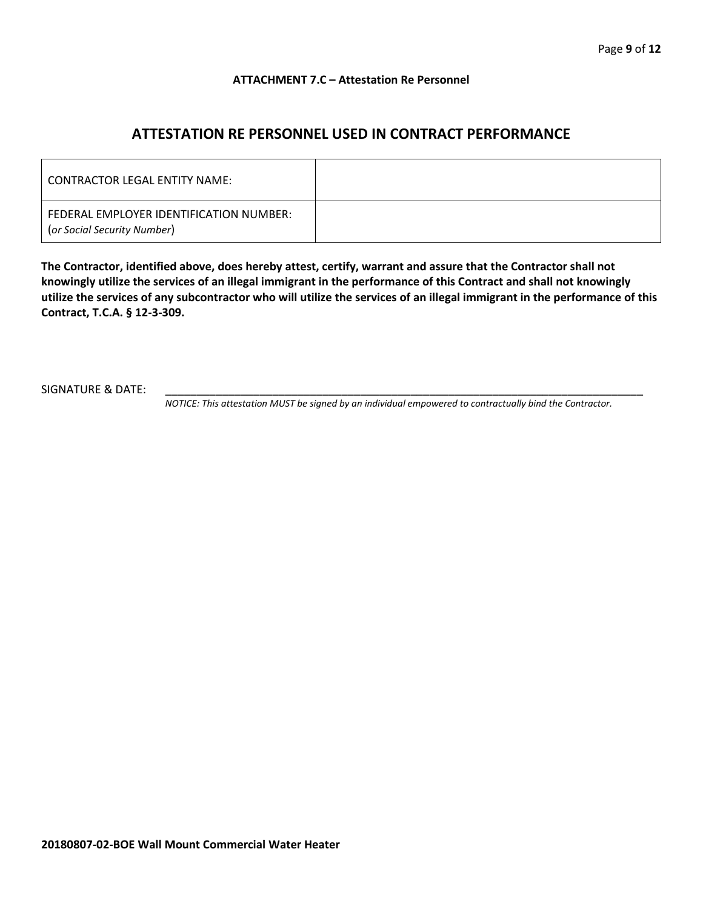## **ATTACHMENT 7.C – Attestation Re Personnel**

## **ATTESTATION RE PERSONNEL USED IN CONTRACT PERFORMANCE**

| CONTRACTOR LEGAL ENTITY NAME:                                          |  |
|------------------------------------------------------------------------|--|
| FEDERAL EMPLOYER IDENTIFICATION NUMBER:<br>(or Social Security Number) |  |

**The Contractor, identified above, does hereby attest, certify, warrant and assure that the Contractor shall not knowingly utilize the services of an illegal immigrant in the performance of this Contract and shall not knowingly utilize the services of any subcontractor who will utilize the services of an illegal immigrant in the performance of this Contract, T.C.A. § 12-3-309.**

SIGNATURE & DATE:

*NOTICE: This attestation MUST be signed by an individual empowered to contractually bind the Contractor.*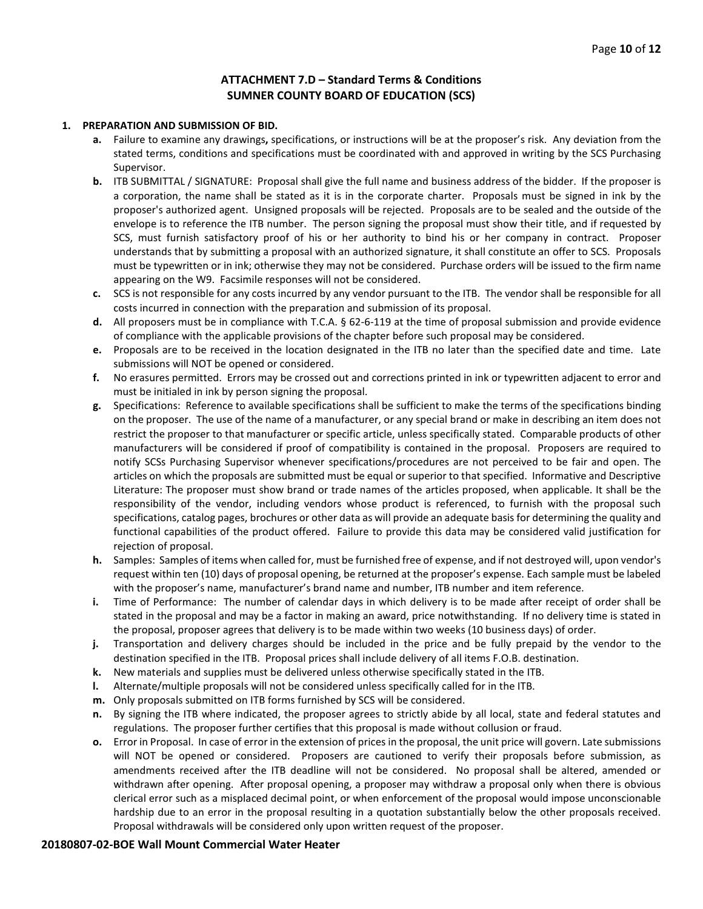## **ATTACHMENT 7.D – Standard Terms & Conditions SUMNER COUNTY BOARD OF EDUCATION (SCS)**

#### **1. PREPARATION AND SUBMISSION OF BID.**

- **a.** Failure to examine any drawings**,** specifications, or instructions will be at the proposer's risk. Any deviation from the stated terms, conditions and specifications must be coordinated with and approved in writing by the SCS Purchasing Supervisor.
- **b.** ITB SUBMITTAL / SIGNATURE: Proposal shall give the full name and business address of the bidder. If the proposer is a corporation, the name shall be stated as it is in the corporate charter. Proposals must be signed in ink by the proposer's authorized agent. Unsigned proposals will be rejected. Proposals are to be sealed and the outside of the envelope is to reference the ITB number. The person signing the proposal must show their title, and if requested by SCS, must furnish satisfactory proof of his or her authority to bind his or her company in contract. Proposer understands that by submitting a proposal with an authorized signature, it shall constitute an offer to SCS. Proposals must be typewritten or in ink; otherwise they may not be considered. Purchase orders will be issued to the firm name appearing on the W9. Facsimile responses will not be considered.
- **c.** SCS is not responsible for any costs incurred by any vendor pursuant to the ITB. The vendor shall be responsible for all costs incurred in connection with the preparation and submission of its proposal.
- **d.** All proposers must be in compliance with T.C.A. § 62-6-119 at the time of proposal submission and provide evidence of compliance with the applicable provisions of the chapter before such proposal may be considered.
- **e.** Proposals are to be received in the location designated in the ITB no later than the specified date and time. Late submissions will NOT be opened or considered.
- **f.** No erasures permitted. Errors may be crossed out and corrections printed in ink or typewritten adjacent to error and must be initialed in ink by person signing the proposal.
- **g.** Specifications: Reference to available specifications shall be sufficient to make the terms of the specifications binding on the proposer. The use of the name of a manufacturer, or any special brand or make in describing an item does not restrict the proposer to that manufacturer or specific article, unless specifically stated. Comparable products of other manufacturers will be considered if proof of compatibility is contained in the proposal. Proposers are required to notify SCSs Purchasing Supervisor whenever specifications/procedures are not perceived to be fair and open. The articles on which the proposals are submitted must be equal or superior to that specified. Informative and Descriptive Literature: The proposer must show brand or trade names of the articles proposed, when applicable. It shall be the responsibility of the vendor, including vendors whose product is referenced, to furnish with the proposal such specifications, catalog pages, brochures or other data as will provide an adequate basis for determining the quality and functional capabilities of the product offered. Failure to provide this data may be considered valid justification for rejection of proposal.
- **h.** Samples: Samples of items when called for, must be furnished free of expense, and if not destroyed will, upon vendor's request within ten (10) days of proposal opening, be returned at the proposer's expense. Each sample must be labeled with the proposer's name, manufacturer's brand name and number, ITB number and item reference.
- **i.** Time of Performance: The number of calendar days in which delivery is to be made after receipt of order shall be stated in the proposal and may be a factor in making an award, price notwithstanding. If no delivery time is stated in the proposal, proposer agrees that delivery is to be made within two weeks (10 business days) of order.
- **j.** Transportation and delivery charges should be included in the price and be fully prepaid by the vendor to the destination specified in the ITB. Proposal prices shall include delivery of all items F.O.B. destination.
- **k.** New materials and supplies must be delivered unless otherwise specifically stated in the ITB.
- **l.** Alternate/multiple proposals will not be considered unless specifically called for in the ITB.
- **m.** Only proposals submitted on ITB forms furnished by SCS will be considered.
- **n.** By signing the ITB where indicated, the proposer agrees to strictly abide by all local, state and federal statutes and regulations. The proposer further certifies that this proposal is made without collusion or fraud.
- **o.** Error in Proposal. In case of error in the extension of prices in the proposal, the unit price will govern. Late submissions will NOT be opened or considered. Proposers are cautioned to verify their proposals before submission, as amendments received after the ITB deadline will not be considered. No proposal shall be altered, amended or withdrawn after opening. After proposal opening, a proposer may withdraw a proposal only when there is obvious clerical error such as a misplaced decimal point, or when enforcement of the proposal would impose unconscionable hardship due to an error in the proposal resulting in a quotation substantially below the other proposals received. Proposal withdrawals will be considered only upon written request of the proposer.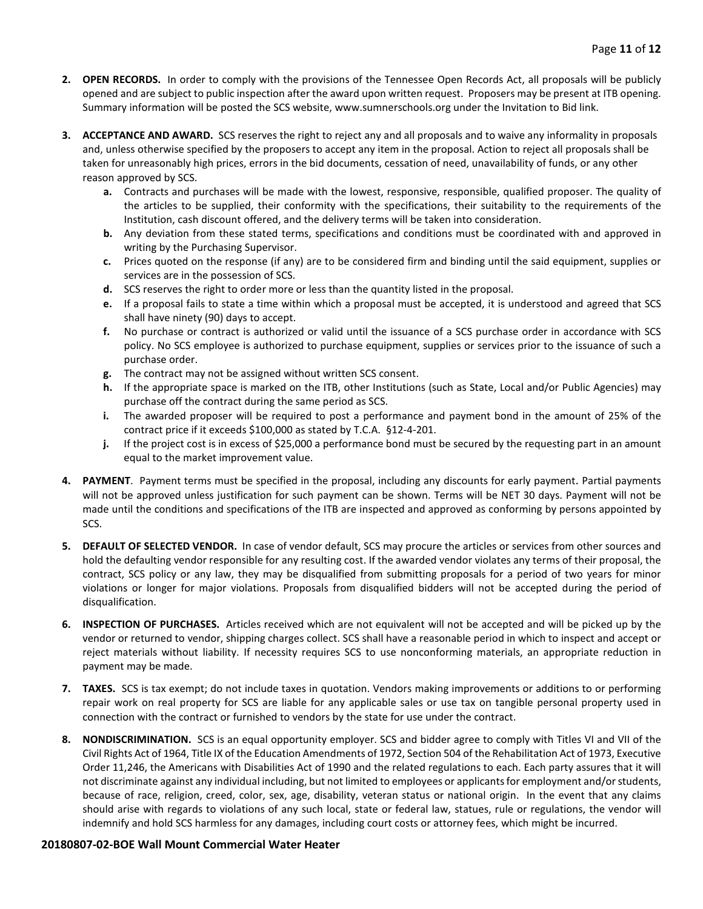- **2. OPEN RECORDS.** In order to comply with the provisions of the Tennessee Open Records Act, all proposals will be publicly opened and are subject to public inspection after the award upon written request. Proposers may be present at ITB opening. Summary information will be posted the SCS website, www.sumnerschools.org under the Invitation to Bid link.
- **3. ACCEPTANCE AND AWARD.** SCS reserves the right to reject any and all proposals and to waive any informality in proposals and, unless otherwise specified by the proposers to accept any item in the proposal. Action to reject all proposals shall be taken for unreasonably high prices, errors in the bid documents, cessation of need, unavailability of funds, or any other reason approved by SCS.
	- **a.** Contracts and purchases will be made with the lowest, responsive, responsible, qualified proposer. The quality of the articles to be supplied, their conformity with the specifications, their suitability to the requirements of the Institution, cash discount offered, and the delivery terms will be taken into consideration.
	- **b.** Any deviation from these stated terms, specifications and conditions must be coordinated with and approved in writing by the Purchasing Supervisor.
	- **c.** Prices quoted on the response (if any) are to be considered firm and binding until the said equipment, supplies or services are in the possession of SCS.
	- **d.** SCS reserves the right to order more or less than the quantity listed in the proposal.
	- **e.** If a proposal fails to state a time within which a proposal must be accepted, it is understood and agreed that SCS shall have ninety (90) days to accept.
	- **f.** No purchase or contract is authorized or valid until the issuance of a SCS purchase order in accordance with SCS policy. No SCS employee is authorized to purchase equipment, supplies or services prior to the issuance of such a purchase order.
	- **g.** The contract may not be assigned without written SCS consent.
	- **h.** If the appropriate space is marked on the ITB, other Institutions (such as State, Local and/or Public Agencies) may purchase off the contract during the same period as SCS.
	- **i.** The awarded proposer will be required to post a performance and payment bond in the amount of 25% of the contract price if it exceeds \$100,000 as stated by T.C.A. §12-4-201.
	- **j.** If the project cost is in excess of \$25,000 a performance bond must be secured by the requesting part in an amount equal to the market improvement value.
- **4. PAYMENT**. Payment terms must be specified in the proposal, including any discounts for early payment. Partial payments will not be approved unless justification for such payment can be shown. Terms will be NET 30 days. Payment will not be made until the conditions and specifications of the ITB are inspected and approved as conforming by persons appointed by SCS.
- **5. DEFAULT OF SELECTED VENDOR.** In case of vendor default, SCS may procure the articles or services from other sources and hold the defaulting vendor responsible for any resulting cost. If the awarded vendor violates any terms of their proposal, the contract, SCS policy or any law, they may be disqualified from submitting proposals for a period of two years for minor violations or longer for major violations. Proposals from disqualified bidders will not be accepted during the period of disqualification.
- **6. INSPECTION OF PURCHASES.** Articles received which are not equivalent will not be accepted and will be picked up by the vendor or returned to vendor, shipping charges collect. SCS shall have a reasonable period in which to inspect and accept or reject materials without liability. If necessity requires SCS to use nonconforming materials, an appropriate reduction in payment may be made.
- **7. TAXES.** SCS is tax exempt; do not include taxes in quotation. Vendors making improvements or additions to or performing repair work on real property for SCS are liable for any applicable sales or use tax on tangible personal property used in connection with the contract or furnished to vendors by the state for use under the contract.
- **8. NONDISCRIMINATION.** SCS is an equal opportunity employer. SCS and bidder agree to comply with Titles VI and VII of the Civil Rights Act of 1964, Title IX of the Education Amendments of 1972, Section 504 of the Rehabilitation Act of 1973, Executive Order 11,246, the Americans with Disabilities Act of 1990 and the related regulations to each. Each party assures that it will not discriminate against any individual including, but not limited to employees or applicants for employment and/or students, because of race, religion, creed, color, sex, age, disability, veteran status or national origin. In the event that any claims should arise with regards to violations of any such local, state or federal law, statues, rule or regulations, the vendor will indemnify and hold SCS harmless for any damages, including court costs or attorney fees, which might be incurred.